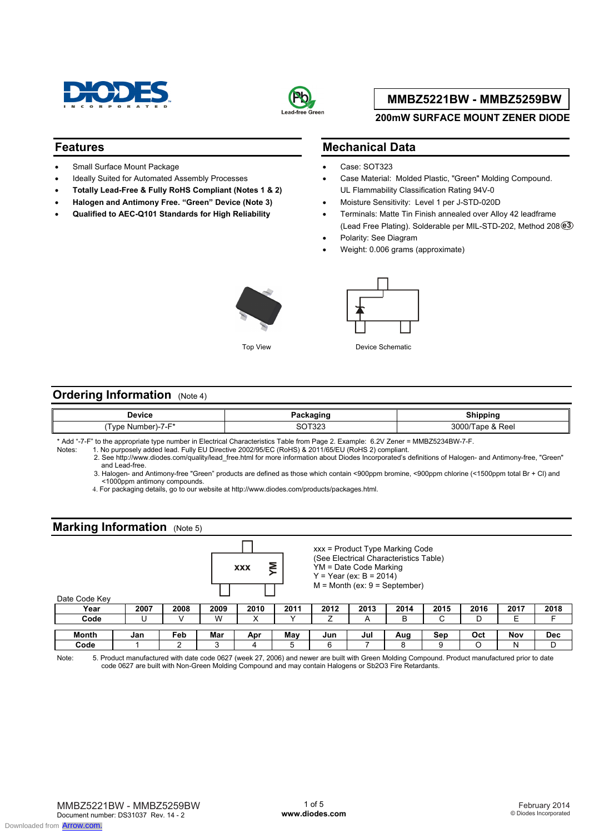



#### **200mW SURFACE MOUNT ZENER DIODE**

#### **Features**

- Small Surface Mount Package
- Ideally Suited for Automated Assembly Processes
- **Totally Lead-Free & Fully RoHS Compliant (Notes 1 & 2)**
- **Halogen and Antimony Free. "Green" Device (Note 3)**
- **Qualified to AEC-Q101 Standards for High Reliability**

#### **Mechanical Data**

- Case: SOT323
- Case Material: Molded Plastic, "Green" Molding Compound. UL Flammability Classification Rating 94V-0
- Moisture Sensitivity: Level 1 per J-STD-020D
- Terminals: Matte Tin Finish annealed over Alloy 42 leadframe (Lead Free Plating). Solderable per MIL-STD-202, Method 208 **e3**
- Polarity: See Diagram
- Weight: 0.006 grams (approximate)





Top View **Device Schematic** 

#### **Ordering Information** (Note 4)

| <b>Device</b>                                            | . <del>.</del> | Shinning     |
|----------------------------------------------------------|----------------|--------------|
| $\overline{\phantom{0}}$<br>Tvpe<br>. Number`<br>— 1 — 5 | -222<br>، ےں   | Reel<br>יטטט |

\* Add "-7-F" to the appropriate type number in Electrical Characteristics Table from Page 2. Example: 6.2V Zener = MMBZ5234BW-7-F.

1. No purposely added lead. Fully EU Directive 2002/95/EC (RoHS) & 2011/65/EU (RoHS 2) compliant. 2. See http://www.diodes.com/quality/lead\_free.html for more information about Diodes Incorporated's definitions of Halogen- and Antimony-free, "Green" and Lead-free.

 3. Halogen- and Antimony-free "Green" products are defined as those which contain <900ppm bromine, <900ppm chlorine (<1500ppm total Br + Cl) and <1000ppm antimony compounds.

4. For packaging details, go to our website at http://www.diodes.com/products/packages.html.

### **Marking Information** (Note 5)

| Date Code Key |      |      |      | ŠΣ<br><b>XXX</b> |      |      | YM = Date Code Marking<br>$Y = Year (ex: B = 2014)$ | xxx = Product Type Marking Code<br>(See Electrical Characteristics Table)<br>$M =$ Month (ex: $9 =$ September) |      |      |      |            |
|---------------|------|------|------|------------------|------|------|-----------------------------------------------------|----------------------------------------------------------------------------------------------------------------|------|------|------|------------|
| Year          | 2007 | 2008 | 2009 | 2010             | 2011 | 2012 | 2013                                                | 2014                                                                                                           | 2015 | 2016 | 2017 | 2018       |
| Code          |      |      | W    | х                |      |      | A                                                   | B                                                                                                              | C    | D    | Ε    | Е          |
|               |      |      |      |                  |      |      |                                                     |                                                                                                                |      |      |      |            |
| Month         | Jan  | Feb  | Mar  | Apr              | Mav  | Jun  | Jul                                                 | Aug                                                                                                            | Sep  | Oct  | Nov  | <b>Dec</b> |
| Code          |      | ◠    | 3    | 4                | 5    | 6    |                                                     | 8                                                                                                              | 9    | O    | N    | D          |

Note: 5. Product manufactured with date code 0627 (week 27, 2006) and newer are built with Green Molding Compound. Product manufactured prior to date code 0627 are built with Non-Green Molding Compound and may contain Halogens or Sb2O3 Fire Retardants.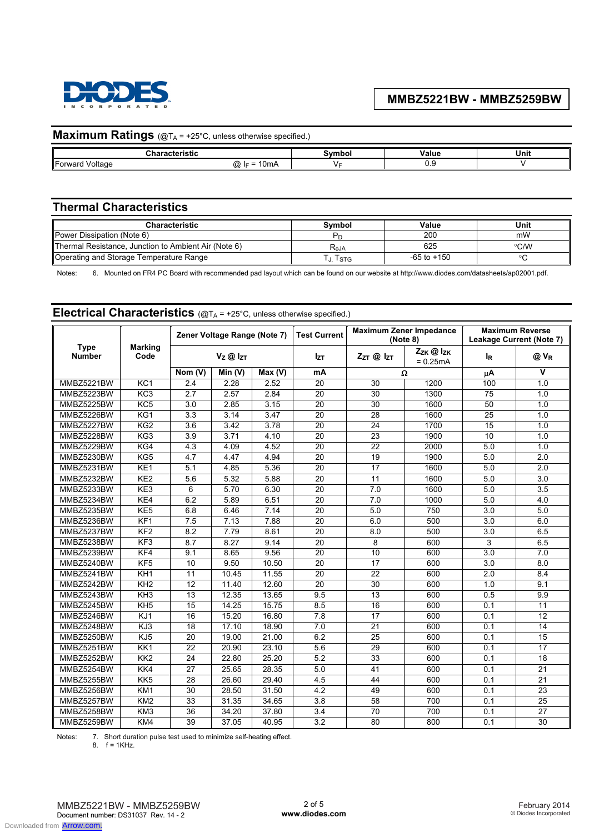

| <b>Maximum Ratings</b> (@TA = +25°C, unless otherwise specified.) |                |               |       |      |  |  |  |  |
|-------------------------------------------------------------------|----------------|---------------|-------|------|--|--|--|--|
| Characteristic                                                    |                | <b>Symbol</b> | Value | Unit |  |  |  |  |
| Forward Voltage                                                   | @ $I_F = 10mA$ |               |       |      |  |  |  |  |
|                                                                   |                |               |       |      |  |  |  |  |

# **Thermal Characteristics**

| Characteristic                                       | Svmbol    | Value           | Unit |
|------------------------------------------------------|-----------|-----------------|------|
| Power Dissipation (Note 6)                           |           | 200             | mW   |
| Thermal Resistance, Junction to Ambient Air (Note 6) | $R_{AJA}$ | 625             | °C/W |
| Operating and Storage Temperature Range              | J. ISTG   | $-65$ to $+150$ |      |

Notes: 6. Mounted on FR4 PC Board with recommended pad layout which can be found on our website at http://www.diodes.com/datasheets/ap02001.pdf.

# **Electrical Characteristics** (@TA = +25°C, unless otherwise specified.)

|                              | Zener Voltage Range (Note 7) |                  |        | <b>Maximum Zener Impedance</b><br><b>Test Current</b><br>(Note 8) |                  | <b>Maximum Reverse</b><br>Leakage Current (Note 7) |                         |                  |                         |
|------------------------------|------------------------------|------------------|--------|-------------------------------------------------------------------|------------------|----------------------------------------------------|-------------------------|------------------|-------------------------|
| <b>Type</b><br><b>Number</b> | <b>Marking</b><br>Code       |                  | Vz@lzT |                                                                   | <b>Izt</b>       | ZzT @ IzT                                          | Zzk @ Izk<br>$= 0.25mA$ | <b>IR</b>        | @ VR                    |
|                              |                              | Nom (V)          | Min(V) | Max (V)                                                           | mA               | Ω                                                  |                         | μA               | $\overline{\mathsf{v}}$ |
| MMBZ5221BW                   | KC1                          | $\overline{2.4}$ | 2.28   | 2.52                                                              | $\overline{20}$  | $\overline{30}$                                    | 1200                    | 100              | 1.0                     |
| MMBZ5223BW                   | KC <sub>3</sub>              | $\overline{2.7}$ | 2.57   | 2.84                                                              | $\overline{20}$  | $\overline{30}$                                    | 1300                    | $\overline{75}$  | 1.0                     |
| MMBZ5225BW                   | KC <sub>5</sub>              | $\overline{3.0}$ | 2.85   | 3.15                                                              | $\overline{20}$  | $\overline{30}$                                    | 1600                    | 50               | 1.0                     |
| MMBZ5226BW                   | KG1                          | $\overline{3.3}$ | 3.14   | 3.47                                                              | $\overline{20}$  | $\overline{28}$                                    | 1600                    | $\overline{25}$  | 1.0                     |
| MMBZ5227BW                   | KG2                          | $\overline{3.6}$ | 3.42   | 3.78                                                              | 20               | $\overline{24}$                                    | 1700                    | $\overline{15}$  | 1.0                     |
| MMBZ5228BW                   | KG3                          | 3.9              | 3.71   | 4.10                                                              | 20               | 23                                                 | 1900                    | 10               | 1.0                     |
| MMBZ5229BW                   | KG4                          | 4.3              | 4.09   | 4.52                                                              | 20               | 22                                                 | 2000                    | 5.0              | 1.0                     |
| MMBZ5230BW                   | KG5                          | 4.7              | 4.47   | 4.94                                                              | 20               | 19                                                 | 1900                    | 5.0              | $\overline{2.0}$        |
| MMBZ5231BW                   | KE <sub>1</sub>              | 5.1              | 4.85   | 5.36                                                              | 20               | 17                                                 | 1600                    | 5.0              | 2.0                     |
| MMBZ5232BW                   | KE <sub>2</sub>              | 5.6              | 5.32   | 5.88                                                              | 20               | 11                                                 | 1600                    | 5.0              | 3.0                     |
| MMBZ5233BW                   | KE3                          | 6                | 5.70   | 6.30                                                              | 20               | 7.0                                                | 1600                    | 5.0              | 3.5                     |
| MMBZ5234BW                   | KE4                          | 6.2              | 5.89   | 6.51                                                              | $\overline{20}$  | 7.0                                                | 1000                    | 5.0              | 4.0                     |
| MMBZ5235BW                   | KE5                          | 6.8              | 6.46   | 7.14                                                              | 20               | 5.0                                                | 750                     | 3.0              | 5.0                     |
| MMBZ5236BW                   | KF <sub>1</sub>              | 7.5              | 7.13   | 7.88                                                              | $\overline{20}$  | 6.0                                                | 500                     | $\overline{3.0}$ | 6.0                     |
| MMBZ5237BW                   | KF <sub>2</sub>              | $\overline{8.2}$ | 7.79   | 8.61                                                              | $\overline{20}$  | 8.0                                                | 500                     | $\overline{3.0}$ | 6.5                     |
| MMBZ5238BW                   | KF <sub>3</sub>              | 8.7              | 8.27   | 9.14                                                              | 20               | 8                                                  | 600                     | 3                | 6.5                     |
| MMBZ5239BW                   | KF4                          | 9.1              | 8.65   | 9.56                                                              | $\overline{20}$  | 10                                                 | 600                     | $\overline{3.0}$ | 7.0                     |
| MMBZ5240BW                   | KF <sub>5</sub>              | $\overline{10}$  | 9.50   | 10.50                                                             | $\overline{20}$  | $\overline{17}$                                    | 600                     | $\overline{3.0}$ | 8.0                     |
| MMBZ5241BW                   | KH <sub>1</sub>              | 11               | 10.45  | 11.55                                                             | 20               | $\overline{22}$                                    | 600                     | $\overline{2.0}$ | 8.4                     |
| MMBZ5242BW                   | KH <sub>2</sub>              | 12               | 11.40  | 12.60                                                             | 20               | 30                                                 | 600                     | 1.0              | 9.1                     |
| MMBZ5243BW                   | KH <sub>3</sub>              | 13               | 12.35  | 13.65                                                             | 9.5              | $\overline{13}$                                    | 600                     | 0.5              | 9.9                     |
| MMBZ5245BW                   | KH <sub>5</sub>              | 15               | 14.25  | 15.75                                                             | 8.5              | 16                                                 | 600                     | 0.1              | 11                      |
| MMBZ5246BW                   | $\overline{KJ1}$             | $\overline{16}$  | 15.20  | 16.80                                                             | 7.8              | $\overline{17}$                                    | 600                     | 0.1              | $\overline{12}$         |
| MMBZ5248BW                   | $\overline{KJ3}$             | $\overline{18}$  | 17.10  | 18.90                                                             | 7.0              | $\overline{21}$                                    | 600                     | 0.1              | 14                      |
| MMBZ5250BW                   | KJ <sub>5</sub>              | $\overline{20}$  | 19.00  | 21.00                                                             | 6.2              | $\overline{25}$                                    | 600                     | 0.1              | $\overline{15}$         |
| MMBZ5251BW                   | KK1                          | 22               | 20.90  | 23.10                                                             | 5.6              | 29                                                 | 600                     | 0.1              | 17                      |
| MMBZ5252BW                   | KK2                          | $\overline{24}$  | 22.80  | 25.20                                                             | 5.2              | 33                                                 | 600                     | 0.1              | 18                      |
| MMBZ5254BW                   | KK4                          | $\overline{27}$  | 25.65  | 28.35                                                             | 5.0              | 41                                                 | 600                     | 0.1              | $\overline{21}$         |
| MMBZ5255BW                   | KK <sub>5</sub>              | $\overline{28}$  | 26.60  | 29.40                                                             | $\overline{4.5}$ | 44                                                 | 600                     | 0.1              | $\overline{21}$         |
| MMBZ5256BW                   | $\overline{KM1}$             | $\overline{30}$  | 28.50  | 31.50                                                             | $\overline{4.2}$ | 49                                                 | 600                     | 0.1              | $\overline{23}$         |
| MMBZ5257BW                   | KM2                          | 33               | 31.35  | 34.65                                                             | 3.8              | 58                                                 | 700                     | 0.1              | 25                      |
| MMBZ5258BW                   | KM3                          | $\overline{36}$  | 34.20  | 37.80                                                             | 3.4              | $\overline{70}$                                    | 700                     | 0.1              | $\overline{27}$         |
| MMBZ5259BW                   | KM4                          | 39               | 37.05  | 40.95                                                             | 3.2              | 80                                                 | 800                     | 0.1              | 30                      |

Notes: 7. Short duration pulse test used to minimize self-heating effect.

8. f = 1KHz.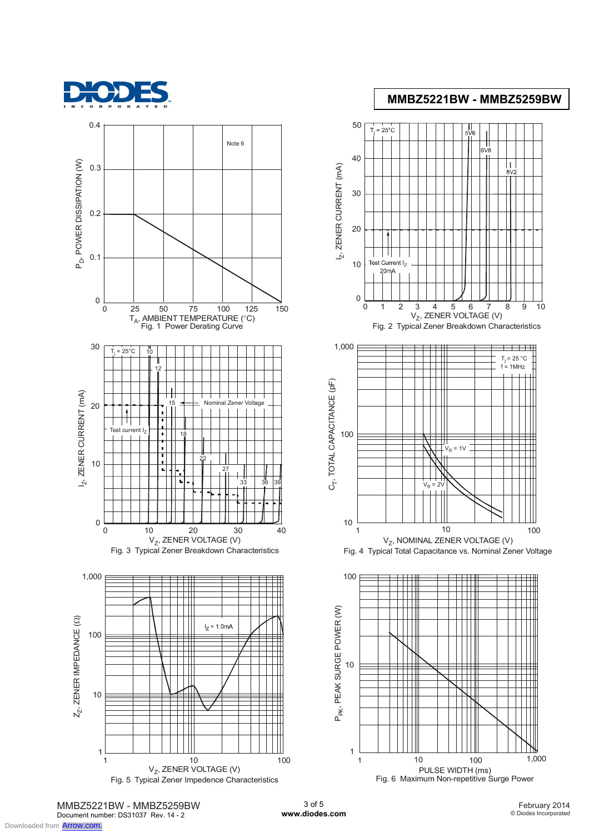



Fig. 5 Typical Zener Impedence Characteristics





MMBZ5221BW - MMBZ5259BW Document number: DS31037 Rev. 14 - 2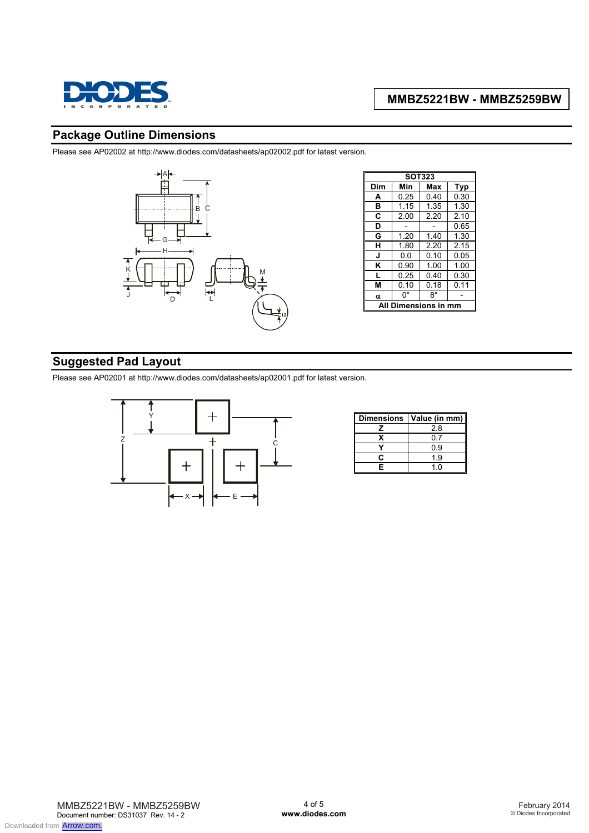

### **Package Outline Dimensions**

Please see AP02002 at http://www.diodes.com/datasheets/ap02002.pdf for latest version.



| <b>SOT323</b>        |      |      |      |  |  |  |  |
|----------------------|------|------|------|--|--|--|--|
| Dim                  | Min  | Max  | Typ  |  |  |  |  |
| A                    | 0.25 | 0.40 | 0.30 |  |  |  |  |
| в                    | 1.15 | 1.35 | 1.30 |  |  |  |  |
| C                    | 2.00 | 2.20 | 2.10 |  |  |  |  |
| D                    |      |      | 0.65 |  |  |  |  |
| G                    | 1.20 | 1.40 | 1.30 |  |  |  |  |
| н                    | 1.80 | 2.20 | 2.15 |  |  |  |  |
| J                    | 0.0  | 0.10 | 0.05 |  |  |  |  |
| κ                    | 0.90 | 1.00 | 1.00 |  |  |  |  |
| L                    | 0.25 | 0.40 | 0.30 |  |  |  |  |
| м                    | 0.10 | 0.18 | 0.11 |  |  |  |  |
| α                    | 0°   | 8°   |      |  |  |  |  |
| Dimensions in<br>ΔIΙ |      |      |      |  |  |  |  |

# **Suggested Pad Layout**

Please see AP02001 at http://www.diodes.com/datasheets/ap02001.pdf for latest version.



| <b>Dimensions</b> | Value (in mm) |
|-------------------|---------------|
|                   | 28            |
| x                 | 07            |
|                   | 0.9           |
| r                 | 19            |
| Е                 | 1.0           |